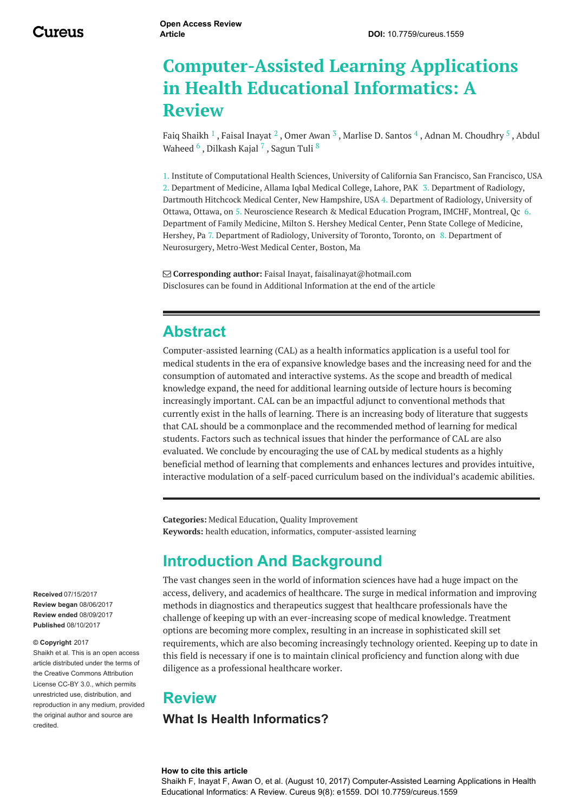# **Computer-Assisted Learning Applications in Health Educational Informatics: A Review**

Faiq [Shaikh](https://www.cureus.com/users/16483-faiq-shaikh)  $^1$  , Faisal [Inayat](https://www.cureus.com/users/18592-faisal-inayat)  $^2$  , [Omer](https://www.cureus.com/users/18685-omer-awan) Awan  $^3$  , [Marlise](https://www.cureus.com/users/45967-marlise-d-santos) D. Santos  $^4$  , Adnan M. [Choudhry](https://www.cureus.com/users/45820-abdul-waheed)  $^5$  , Abdul Waheed  $^6$  , [Dilkash](https://www.cureus.com/users/45822-dilkash-kajal) Kajal  $^7$  , [Sagun](https://www.cureus.com/users/45966-sagun-tuli) Tuli  $^8$ 

1. Institute of Computational Health Sciences, University of California San Francisco, San Francisco, USA 2. Department of Medicine, Allama Iqbal Medical College, Lahore, PAK 3. Department of Radiology, Dartmouth Hitchcock Medical Center, New Hampshire, USA 4. Department of Radiology, University of Ottawa, Ottawa, on 5. Neuroscience Research & Medical Education Program, IMCHF, Montreal, Qc 6. Department of Family Medicine, Milton S. Hershey Medical Center, Penn State College of Medicine, Hershey, Pa 7. Department of Radiology, University of Toronto, Toronto, on 8. Department of Neurosurgery, Metro-West Medical Center, Boston, Ma

 **Corresponding author:** Faisal Inayat, faisalinayat@hotmail.com Disclosures can be found in Additional Information at the end of the article

### **Abstract**

Computer-assisted learning (CAL) as a health informatics application is a useful tool for medical students in the era of expansive knowledge bases and the increasing need for and the consumption of automated and interactive systems. As the scope and breadth of medical knowledge expand, the need for additional learning outside of lecture hours is becoming increasingly important. CAL can be an impactful adjunct to conventional methods that currently exist in the halls of learning. There is an increasing body of literature that suggests that CAL should be a commonplace and the recommended method of learning for medical students. Factors such as technical issues that hinder the performance of CAL are also evaluated. We conclude by encouraging the use of CAL by medical students as a highly beneficial method of learning that complements and enhances lectures and provides intuitive, interactive modulation of a self-paced curriculum based on the individual's academic abilities.

**Categories:** Medical Education, Quality Improvement **Keywords:** health education, informatics, computer-assisted learning

### **Introduction And Background**

The vast changes seen in the world of information sciences have had a huge impact on the access, delivery, and academics of healthcare. The surge in medical information and improving methods in diagnostics and therapeutics suggest that healthcare professionals have the challenge of keeping up with an ever-increasing scope of medical knowledge. Treatment options are becoming more complex, resulting in an increase in sophisticated skill set requirements, which are also becoming increasingly technology oriented. Keeping up to date in this field is necessary if one is to maintain clinical proficiency and function along with due diligence as a professional healthcare worker.

### **Review**

#### **What Is Health Informatics?**

#### **How to cite this article**

Shaikh F, Inayat F, Awan O, et al. (August 10, 2017) Computer-Assisted Learning Applications in Health Educational Informatics: A Review. Cureus 9(8): e1559. DOI 10.7759/cureus.1559

**Received** 07/15/2017 **Review began** 08/06/2017 **Review ended** 08/09/2017 **Published** 08/10/2017

#### **© Copyright** 2017

Shaikh et al. This is an open access article distributed under the terms of the Creative Commons Attribution License CC-BY 3.0., which permits unrestricted use, distribution, and reproduction in any medium, provided the original author and source are credited.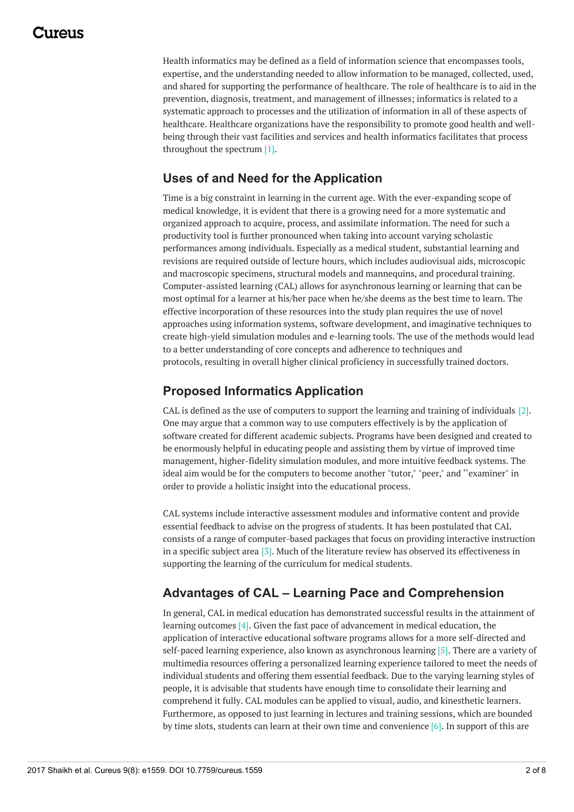## 117A119

Health informatics may be defined as a field of information science that encompasses tools, expertise, and the understanding needed to allow information to be managed, collected, used, and shared for supporting the performance of healthcare. The role of healthcare is to aid in the prevention, diagnosis, treatment, and management of illnesses; informatics is related to a systematic approach to processes and the utilization of information in all of these aspects of healthcare. Healthcare organizations have the responsibility to promote good health and wellbeing through their vast facilities and services and health informatics facilitates that process throughout the spectrum [1].

### **Uses of and Need for the Application**

Time is a big constraint in learning in the current age. With the ever-expanding scope of medical knowledge, it is evident that there is a growing need for a more systematic and organized approach to acquire, process, and assimilate information. The need for such a productivity tool is further pronounced when taking into account varying scholastic performances among individuals. Especially as a medical student, substantial learning and revisions are required outside of lecture hours, which includes audiovisual aids, microscopic and macroscopic specimens, structural models and mannequins, and procedural training. Computer-assisted learning (CAL) allows for asynchronous learning or learning that can be most optimal for a learner at his/her pace when he/she deems as the best time to learn. The effective incorporation of these resources into the study plan requires the use of novel approaches using information systems, software development, and imaginative techniques to create high-yield simulation modules and e-learning tools. The use of the methods would lead to a better understanding of core concepts and adherence to techniques and protocols, resulting in overall higher clinical proficiency in successfully trained doctors.

### **Proposed Informatics Application**

CAL is defined as the use of computers to support the learning and training of individuals [2]. One may argue that a common way to use computers effectively is by the application of software created for different academic subjects. Programs have been designed and created to be enormously helpful in educating people and assisting them by virtue of improved time management, higher-fidelity simulation modules, and more intuitive feedback systems. The ideal aim would be for the computers to become another "tutor," "peer," and ''examiner" in order to provide a holistic insight into the educational process.

CAL systems include interactive assessment modules and informative content and provide essential feedback to advise on the progress of students. It has been postulated that CAL consists of a range of computer-based packages that focus on providing interactive instruction in a specific subject area [3]. Much of the literature review has observed its effectiveness in supporting the learning of the curriculum for medical students.

### **Advantages of CAL – Learning Pace and Comprehension**

In general, CAL in medical education has demonstrated successful results in the attainment of learning outcomes [4]. Given the fast pace of advancement in medical education, the application of interactive educational software programs allows for a more self-directed and self-paced learning experience, also known as asynchronous learning [5]. There are a variety of multimedia resources offering a personalized learning experience tailored to meet the needs of individual students and offering them essential feedback. Due to the varying learning styles of people, it is advisable that students have enough time to consolidate their learning and comprehend it fully. CAL modules can be applied to visual, audio, and kinesthetic learners. Furthermore, as opposed to just learning in lectures and training sessions, which are bounded by time slots, students can learn at their own time and convenience [6]. In support of this are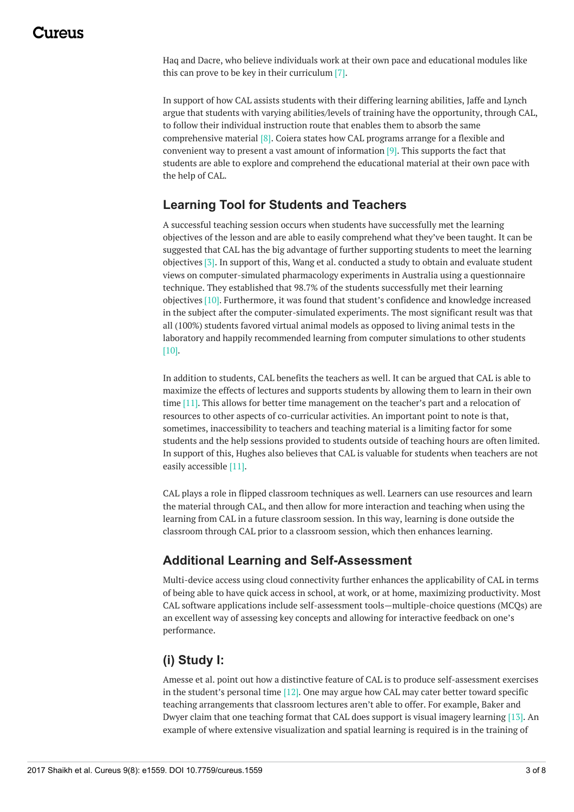### 1174110

Haq and Dacre, who believe individuals work at their own pace and educational modules like this can prove to be key in their curriculum [7].

In support of how CAL assists students with their differing learning abilities, Jaffe and Lynch argue that students with varying abilities/levels of training have the opportunity, through CAL, to follow their individual instruction route that enables them to absorb the same comprehensive material [8]. Coiera states how CAL programs arrange for a flexible and convenient way to present a vast amount of information [9]. This supports the fact that students are able to explore and comprehend the educational material at their own pace with the help of CAL.

#### **Learning Tool for Students and Teachers**

A successful teaching session occurs when students have successfully met the learning objectives of the lesson and are able to easily comprehend what they've been taught. It can be suggested that CAL has the big advantage of further supporting students to meet the learning objectives [3]. In support of this, Wang et al. conducted a study to obtain and evaluate student views on computer-simulated pharmacology experiments in Australia using a questionnaire technique. They established that 98.7% of the students successfully met their learning objectives [10]. Furthermore, it was found that student's confidence and knowledge increased in the subject after the computer-simulated experiments. The most significant result was that all (100%) students favored virtual animal models as opposed to living animal tests in the laboratory and happily recommended learning from computer simulations to other students [10].

In addition to students, CAL benefits the teachers as well. It can be argued that CAL is able to maximize the effects of lectures and supports students by allowing them to learn in their own time [11]. This allows for better time management on the teacher's part and a relocation of resources to other aspects of co-curricular activities. An important point to note is that, sometimes, inaccessibility to teachers and teaching material is a limiting factor for some students and the help sessions provided to students outside of teaching hours are often limited. In support of this, Hughes also believes that CAL is valuable for students when teachers are not easily accessible [11].

CAL plays a role in flipped classroom techniques as well. Learners can use resources and learn the material through CAL, and then allow for more interaction and teaching when using the learning from CAL in a future classroom session. In this way, learning is done outside the classroom through CAL prior to a classroom session, which then enhances learning.

### **Additional Learning and Self-Assessment**

Multi-device access using cloud connectivity further enhances the applicability of CAL in terms of being able to have quick access in school, at work, or at home, maximizing productivity. Most CAL software applications include self-assessment tools—multiple-choice questions (MCQs) are an excellent way of assessing key concepts and allowing for interactive feedback on one's performance.

### **(i) Study I:**

Amesse et al. point out how a distinctive feature of CAL is to produce self-assessment exercises in the student's personal time [12]. One may argue how CAL may cater better toward specific teaching arrangements that classroom lectures aren't able to offer. For example, Baker and Dwyer claim that one teaching format that CAL does support is visual imagery learning [13]. An example of where extensive visualization and spatial learning is required is in the training of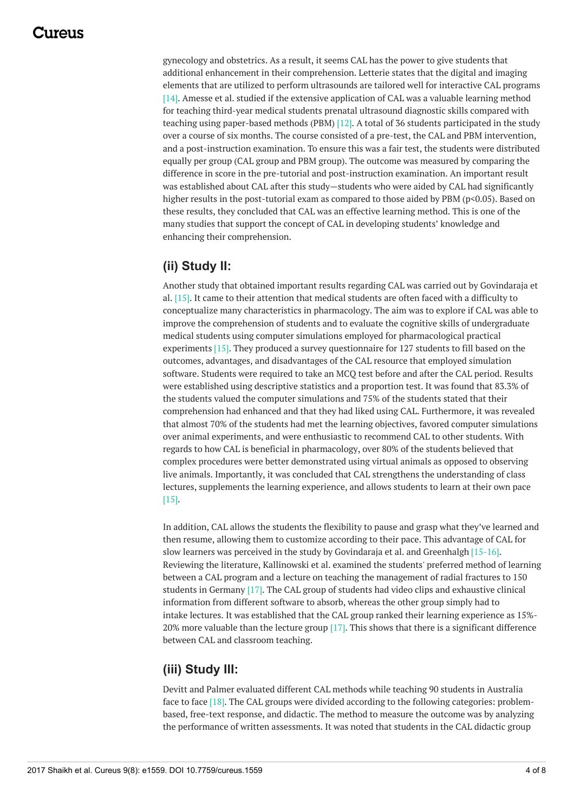### 117A119

gynecology and obstetrics. As a result, it seems CAL has the power to give students that additional enhancement in their comprehension. Letterie states that the digital and imaging elements that are utilized to perform ultrasounds are tailored well for interactive CAL programs [14]. Amesse et al. studied if the extensive application of CAL was a valuable learning method for teaching third-year medical students prenatal ultrasound diagnostic skills compared with teaching using paper-based methods (PBM) [12]. A total of 36 students participated in the study over a course of six months. The course consisted of a pre-test, the CAL and PBM intervention, and a post-instruction examination. To ensure this was a fair test, the students were distributed equally per group (CAL group and PBM group). The outcome was measured by comparing the difference in score in the pre-tutorial and post-instruction examination. An important result was established about CAL after this study—students who were aided by CAL had significantly higher results in the post-tutorial exam as compared to those aided by PBM (p<0.05). Based on these results, they concluded that CAL was an effective learning method. This is one of the many studies that support the concept of CAL in developing students' knowledge and enhancing their comprehension.

### **(ii) Study II:**

Another study that obtained important results regarding CAL was carried out by Govindaraja et al. [15]. It came to their attention that medical students are often faced with a difficulty to conceptualize many characteristics in pharmacology. The aim was to explore if CAL was able to improve the comprehension of students and to evaluate the cognitive skills of undergraduate medical students using computer simulations employed for pharmacological practical experiments [15]. They produced a survey questionnaire for 127 students to fill based on the outcomes, advantages, and disadvantages of the CAL resource that employed simulation software. Students were required to take an MCQ test before and after the CAL period. Results were established using descriptive statistics and a proportion test. It was found that 83.3% of the students valued the computer simulations and 75% of the students stated that their comprehension had enhanced and that they had liked using CAL. Furthermore, it was revealed that almost 70% of the students had met the learning objectives, favored computer simulations over animal experiments, and were enthusiastic to recommend CAL to other students. With regards to how CAL is beneficial in pharmacology, over 80% of the students believed that complex procedures were better demonstrated using virtual animals as opposed to observing live animals. Importantly, it was concluded that CAL strengthens the understanding of class lectures, supplements the learning experience, and allows students to learn at their own pace [15].

In addition, CAL allows the students the flexibility to pause and grasp what they've learned and then resume, allowing them to customize according to their pace. This advantage of CAL for slow learners was perceived in the study by Govindaraja et al. and Greenhalgh [15-16]. Reviewing the literature, Kallinowski et al. examined the students' preferred method of learning between a CAL program and a lecture on teaching the management of radial fractures to 150 students in Germany [17]. The CAL group of students had video clips and exhaustive clinical information from different software to absorb, whereas the other group simply had to intake lectures. It was established that the CAL group ranked their learning experience as 15%- 20% more valuable than the lecture group [17]. This shows that there is a significant difference between CAL and classroom teaching.

### **(iii) Study III:**

Devitt and Palmer evaluated different CAL methods while teaching 90 students in Australia face to face [18]. The CAL groups were divided according to the following categories: problembased, free-text response, and didactic. The method to measure the outcome was by analyzing the performance of written assessments. It was noted that students in the CAL didactic group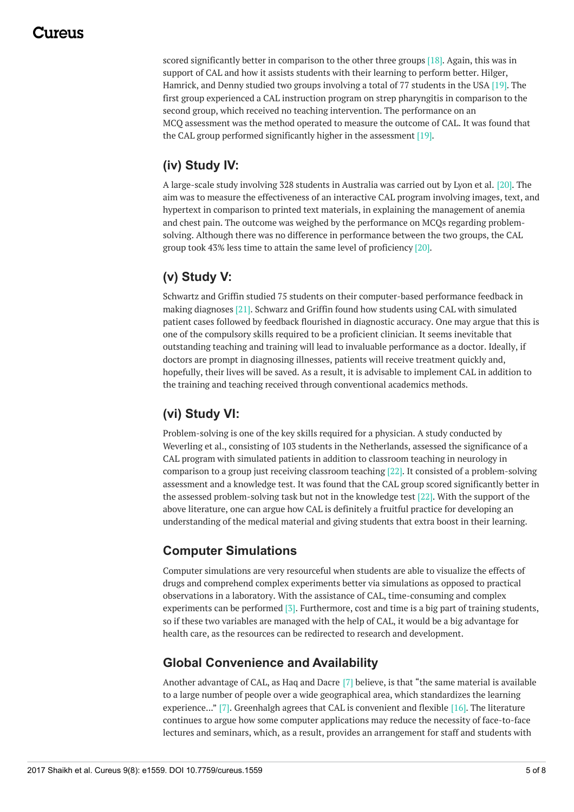### 1174110

scored significantly better in comparison to the other three groups [18]. Again, this was in support of CAL and how it assists students with their learning to perform better. Hilger, Hamrick, and Denny studied two groups involving a total of 77 students in the USA [19]. The first group experienced a CAL instruction program on strep pharyngitis in comparison to the second group, which received no teaching intervention. The performance on an MCQ assessment was the method operated to measure the outcome of CAL. It was found that the CAL group performed significantly higher in the assessment [19].

### **(iv) Study IV:**

A large-scale study involving 328 students in Australia was carried out by Lyon et al. [20]. The aim was to measure the effectiveness of an interactive CAL program involving images, text, and hypertext in comparison to printed text materials, in explaining the management of anemia and chest pain. The outcome was weighed by the performance on MCQs regarding problemsolving. Although there was no difference in performance between the two groups, the CAL group took 43% less time to attain the same level of proficiency [20].

### **(v) Study V:**

Schwartz and Griffin studied 75 students on their computer-based performance feedback in making diagnoses [21]. Schwarz and Griffin found how students using CAL with simulated patient cases followed by feedback flourished in diagnostic accuracy. One may argue that this is one of the compulsory skills required to be a proficient clinician. It seems inevitable that outstanding teaching and training will lead to invaluable performance as a doctor. Ideally, if doctors are prompt in diagnosing illnesses, patients will receive treatment quickly and, hopefully, their lives will be saved. As a result, it is advisable to implement CAL in addition to the training and teaching received through conventional academics methods.

### **(vi) Study VI:**

Problem-solving is one of the key skills required for a physician. A study conducted by Weverling et al., consisting of 103 students in the Netherlands, assessed the significance of a CAL program with simulated patients in addition to classroom teaching in neurology in comparison to a group just receiving classroom teaching [22]. It consisted of a problem-solving assessment and a knowledge test. It was found that the CAL group scored significantly better in the assessed problem-solving task but not in the knowledge test [22]. With the support of the above literature, one can argue how CAL is definitely a fruitful practice for developing an understanding of the medical material and giving students that extra boost in their learning.

### **Computer Simulations**

Computer simulations are very resourceful when students are able to visualize the effects of drugs and comprehend complex experiments better via simulations as opposed to practical observations in a laboratory. With the assistance of CAL, time-consuming and complex experiments can be performed [3]. Furthermore, cost and time is a big part of training students, so if these two variables are managed with the help of CAL, it would be a big advantage for health care, as the resources can be redirected to research and development.

### **Global Convenience and Availability**

Another advantage of CAL, as Haq and Dacre [7] believe, is that "the same material is available to a large number of people over a wide geographical area, which standardizes the learning experience..." [7]. Greenhalgh agrees that CAL is convenient and flexible [16]. The literature continues to argue how some computer applications may reduce the necessity of face-to-face lectures and seminars, which, as a result, provides an arrangement for staff and students with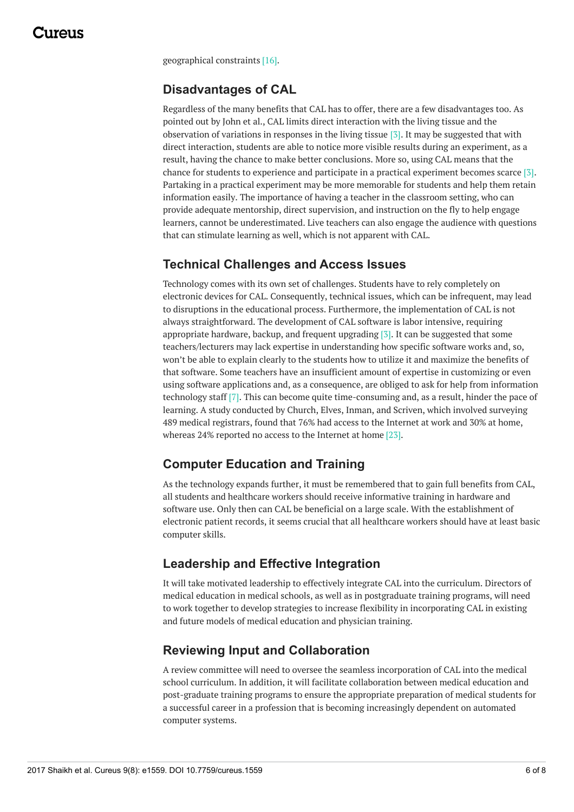geographical constraints [16].

#### **Disadvantages of CAL**

Regardless of the many benefits that CAL has to offer, there are a few disadvantages too. As pointed out by John et al., CAL limits direct interaction with the living tissue and the observation of variations in responses in the living tissue [3]. It may be suggested that with direct interaction, students are able to notice more visible results during an experiment, as a result, having the chance to make better conclusions. More so, using CAL means that the chance for students to experience and participate in a practical experiment becomes scarce [3]. Partaking in a practical experiment may be more memorable for students and help them retain information easily. The importance of having a teacher in the classroom setting, who can provide adequate mentorship, direct supervision, and instruction on the fly to help engage learners, cannot be underestimated. Live teachers can also engage the audience with questions that can stimulate learning as well, which is not apparent with CAL.

#### **Technical Challenges and Access Issues**

Technology comes with its own set of challenges. Students have to rely completely on electronic devices for CAL. Consequently, technical issues, which can be infrequent, may lead to disruptions in the educational process. Furthermore, the implementation of CAL is not always straightforward. The development of CAL software is labor intensive, requiring appropriate hardware, backup, and frequent upgrading [3]. It can be suggested that some teachers/lecturers may lack expertise in understanding how specific software works and, so, won't be able to explain clearly to the students how to utilize it and maximize the benefits of that software. Some teachers have an insufficient amount of expertise in customizing or even using software applications and, as a consequence, are obliged to ask for help from information technology staff [7]. This can become quite time-consuming and, as a result, hinder the pace of learning. A study conducted by Church, Elves, Inman, and Scriven, which involved surveying 489 medical registrars, found that 76% had access to the Internet at work and 30% at home, whereas 24% reported no access to the Internet at home [23].

### **Computer Education and Training**

As the technology expands further, it must be remembered that to gain full benefits from CAL, all students and healthcare workers should receive informative training in hardware and software use. Only then can CAL be beneficial on a large scale. With the establishment of electronic patient records, it seems crucial that all healthcare workers should have at least basic computer skills.

#### **Leadership and Effective Integration**

It will take motivated leadership to effectively integrate CAL into the curriculum. Directors of medical education in medical schools, as well as in postgraduate training programs, will need to work together to develop strategies to increase flexibility in incorporating CAL in existing and future models of medical education and physician training.

### **Reviewing Input and Collaboration**

A review committee will need to oversee the seamless incorporation of CAL into the medical school curriculum. In addition, it will facilitate collaboration between medical education and post-graduate training programs to ensure the appropriate preparation of medical students for a successful career in a profession that is becoming increasingly dependent on automated computer systems.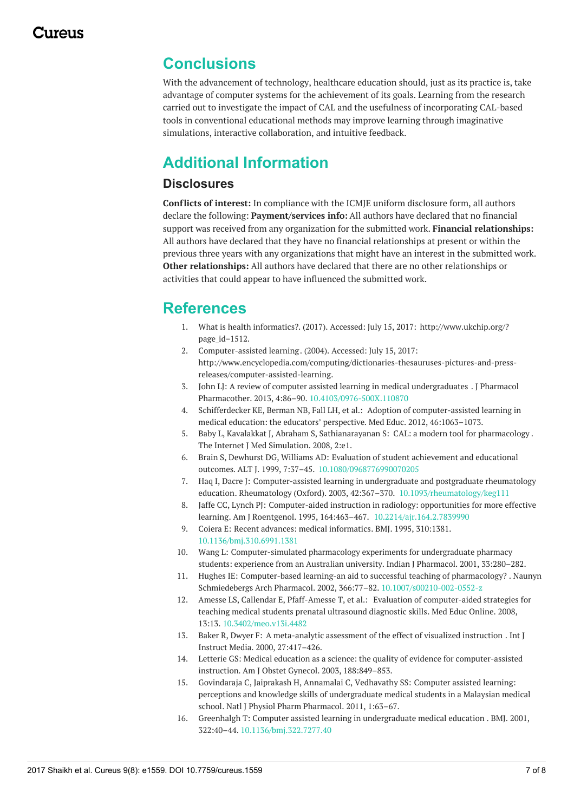## **Conclusions**

With the advancement of technology, healthcare education should, just as its practice is, take advantage of computer systems for the achievement of its goals. Learning from the research carried out to investigate the impact of CAL and the usefulness of incorporating CAL-based tools in conventional educational methods may improve learning through imaginative simulations, interactive collaboration, and intuitive feedback.

# **Additional Information**

#### **Disclosures**

**Conflicts of interest:** In compliance with the ICMJE uniform disclosure form, all authors declare the following: **Payment/services info:** All authors have declared that no financial support was received from any organization for the submitted work. **Financial relationships:** All authors have declared that they have no financial relationships at present or within the previous three years with any organizations that might have an interest in the submitted work. **Other relationships:** All authors have declared that there are no other relationships or activities that could appear to have influenced the submitted work.

## **References**

- 1. What is health [informatics?](http://www.ukchip.org/?page_id=1512). (2017). Accessed: July 15, 2017: [http://www.ukchip.org/?](http://www.ukchip.org/?page_id=1512) page id=1512.
- 2. [Computer-assisted](http://www.encyclopedia.com/computing/dictionaries-thesauruses-pictures-and-press-releases/computer-assisted-learning) learning. (2004). Accessed: July 15, 2017: [http://www.encyclopedia.com/computing/dictionaries-thesauruses-pictures-and-press](http://www.encyclopedia.com/computing/dictionaries-thesauruses-pictures-and-press-releases/computer-assisted-learning)releases/computer-assisted-learning.
- 3. John LJ: A review of computer assisted learning in medical [undergraduates](https://dx.doi.org/10.4103/0976-500X.110870) . J Pharmacol Pharmacother. 2013, 4:86–90. [10.4103/0976-500X.110870](https://dx.doi.org/10.4103/0976-500X.110870)
- 4. Schifferdecker KE, Berman NB, Fall LH, et al.: Adoption of [computer-assisted](http://onlinelibrary.wiley.com/doi/10.1111/j.1365-2923.2012.04350.x/abstract;jsessionid=AD9BCBBDAF4F28E4DFB697C133D47E9A.f04t02) learning in medical education: the educators' perspective. Med Educ. 2012, 46:1063–1073.
- 5. Baby L, Kavalakkat J, Abraham S, Sathianarayanan S: CAL: a modern tool for [pharmacology](http://ispub.com/IJMS/2/2/7966) . The Internet J Med Simulation. 2008, 2:e1.
- 6. Brain S, Dewhurst DG, Williams AD: Evaluation of student achievement and educational outcomes. ALT J. 1999, 7:37–45. [10.1080/0968776990070205](https://dx.doi.org/10.1080/0968776990070205)
- 7. Haq I, Dacre J: Computer-assisted learning in undergraduate and postgraduate rheumatology education. Rheumatology (Oxford). 2003, 42:367–370. [10.1093/rheumatology/keg111](https://dx.doi.org/10.1093/rheumatology/keg111)
- 8. Jaffe CC, Lynch PJ: Computer-aided instruction in radiology: opportunities for more effective learning. Am J Roentgenol. 1995, 164:463–467. [10.2214/ajr.164.2.7839990](https://dx.doi.org/10.2214/ajr.164.2.7839990)
- 9. Coiera E: Recent advances: medical [informatics](https://dx.doi.org/10.1136/bmj.310.6991.1381). BMJ. 1995, 310:1381. [10.1136/bmj.310.6991.1381](https://dx.doi.org/10.1136/bmj.310.6991.1381)
- 10. Wang L: [Computer-simulated](http://www.ijp-online.com/article.asp?issn=0253-7613;year=2001;volume=33;issue=4;spage=280;epage=282;aulast=lexin;type=0) pharmacology experiments for undergraduate pharmacy students: experience from an Australian university. Indian J Pharmacol. 2001, 33:280–282.
- 11. Hughes IE: [Computer-based](https://dx.doi.org/10.1007/s00210-002-0552-z) learning-an aid to successful teaching of pharmacology? . Naunyn Schmiedebergs Arch Pharmacol. 2002, 366:77–82. [10.1007/s00210-002-0552-z](https://dx.doi.org/10.1007/s00210-002-0552-z)
- 12. Amesse LS, Callendar E, Pfaff-Amesse T, et al.: Evaluation of [computer-aided](https://dx.doi.org/10.3402/meo.v13i.4482) strategies for teaching medical students prenatal ultrasound diagnostic skills. Med Educ Online. 2008, 13:13. [10.3402/meo.v13i.4482](https://dx.doi.org/10.3402/meo.v13i.4482)
- 13. Baker R, Dwyer F: A [meta-analytic](http://go.galegroup.com/ps/anonymous?id=GALE%7CA67531182) assessment of the effect of visualized instruction . Int J Instruct Media. 2000, 27:417–426.
- 14. Letterie GS: Medical education as a science: the quality of evidence for [computer-assisted](http://www.ajog.org/article/S0002-9378(02)71498-1/fulltext) instruction. Am J Obstet Gynecol. 2003, 188:849–853.
- 15. Govindaraja C, Jaiprakash H, Annamalai C, Vedhavathy SS: Computer assisted learning: perceptions and knowledge skills of [undergraduate](https://www.njppp.com/?mno=6584) medical students in a Malaysian medical school. Natl J Physiol Pharm Pharmacol. 2011, 1:63–67.
- 16. Greenhalgh T: Computer assisted learning in [undergraduate](https://dx.doi.org/10.1136/bmj.322.7277.40) medical education . BMJ. 2001, 322:40–44. [10.1136/bmj.322.7277.40](https://dx.doi.org/10.1136/bmj.322.7277.40)